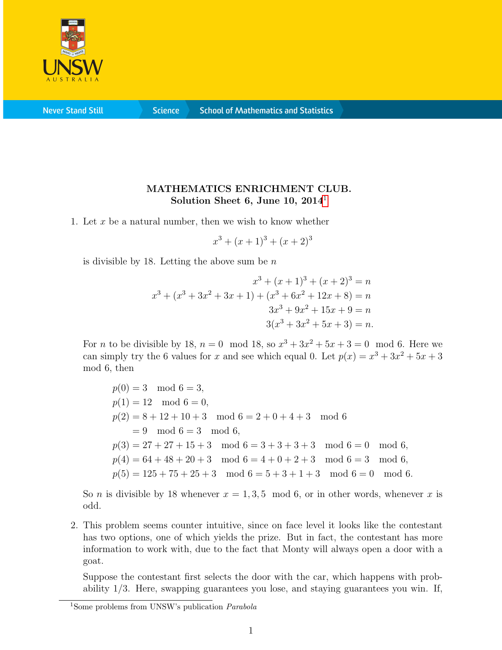

**Never Stand Still** 

**Science** 

## MATHEMATICS ENRICHMENT CLUB. Solution Sheet 6, June [1](#page-0-0)0,  $2014<sup>1</sup>$

1. Let x be a natural number, then we wish to know whether

 $x^3 + (x+1)^3 + (x+2)^3$ 

is divisible by 18. Letting the above sum be  $n$ 

$$
x^{3} + (x+1)^{3} + (x+2)^{3} = n
$$
  

$$
x^{3} + (x^{3} + 3x^{2} + 3x + 1) + (x^{3} + 6x^{2} + 12x + 8) = n
$$
  

$$
3x^{3} + 9x^{2} + 15x + 9 = n
$$
  

$$
3(x^{3} + 3x^{2} + 5x + 3) = n.
$$

For *n* to be divisible by 18,  $n = 0 \mod 18$ , so  $x^3 + 3x^2 + 5x + 3 = 0 \mod 6$ . Here we can simply try the 6 values for x and see which equal 0. Let  $p(x) = x^3 + 3x^2 + 5x + 3$ mod 6, then

 $p(0) = 3 \mod 6 = 3$ ,  $p(1) = 12 \mod 6 = 0,$  $p(2) = 8 + 12 + 10 + 3 \mod 6 = 2 + 0 + 4 + 3 \mod 6$  $= 9 \mod 6 = 3 \mod 6$ ,  $p(3) = 27 + 27 + 15 + 3 \mod 6 = 3 + 3 + 3 + 3 \mod 6 = 0 \mod 6,$  $p(4) = 64 + 48 + 20 + 3 \mod 6 = 4 + 0 + 2 + 3 \mod 6 = 3 \mod 6,$  $p(5) = 125 + 75 + 25 + 3 \mod 6 = 5 + 3 + 1 + 3 \mod 6 = 0 \mod 6.$ 

So *n* is divisible by 18 whenever  $x = 1, 3, 5 \mod 6$ , or in other words, whenever x is odd.

2. This problem seems counter intuitive, since on face level it looks like the contestant has two options, one of which yields the prize. But in fact, the contestant has more information to work with, due to the fact that Monty will always open a door with a goat.

Suppose the contestant first selects the door with the car, which happens with probability 1/3. Here, swapping guarantees you lose, and staying guarantees you win. If,

<span id="page-0-0"></span><sup>&</sup>lt;sup>1</sup>Some problems from UNSW's publication *Parabola*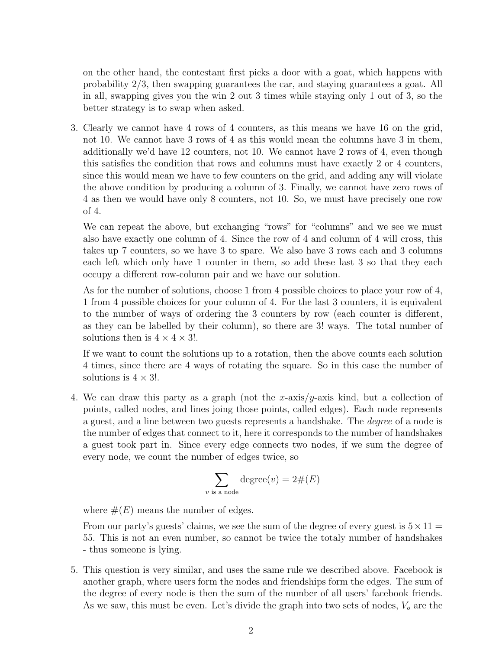on the other hand, the contestant first picks a door with a goat, which happens with probability 2/3, then swapping guarantees the car, and staying guarantees a goat. All in all, swapping gives you the win 2 out 3 times while staying only 1 out of 3, so the better strategy is to swap when asked.

3. Clearly we cannot have 4 rows of 4 counters, as this means we have 16 on the grid, not 10. We cannot have 3 rows of 4 as this would mean the columns have 3 in them, additionally we'd have 12 counters, not 10. We cannot have 2 rows of 4, even though this satisfies the condition that rows and columns must have exactly 2 or 4 counters, since this would mean we have to few counters on the grid, and adding any will violate the above condition by producing a column of 3. Finally, we cannot have zero rows of 4 as then we would have only 8 counters, not 10. So, we must have precisely one row of 4.

We can repeat the above, but exchanging "rows" for "columns" and we see we must also have exactly one column of 4. Since the row of 4 and column of 4 will cross, this takes up 7 counters, so we have 3 to spare. We also have 3 rows each and 3 columns each left which only have 1 counter in them, so add these last 3 so that they each occupy a different row-column pair and we have our solution.

As for the number of solutions, choose 1 from 4 possible choices to place your row of 4, 1 from 4 possible choices for your column of 4. For the last 3 counters, it is equivalent to the number of ways of ordering the 3 counters by row (each counter is different, as they can be labelled by their column), so there are 3! ways. The total number of solutions then is  $4 \times 4 \times 3!$ .

If we want to count the solutions up to a rotation, then the above counts each solution 4 times, since there are 4 ways of rotating the square. So in this case the number of solutions is  $4 \times 3!$ .

4. We can draw this party as a graph (not the x-axis/ $y$ -axis kind, but a collection of points, called nodes, and lines joing those points, called edges). Each node represents a guest, and a line between two guests represents a handshake. The degree of a node is the number of edges that connect to it, here it corresponds to the number of handshakes a guest took part in. Since every edge connects two nodes, if we sum the degree of every node, we count the number of edges twice, so

$$
\sum_{\text{is a node}} \text{degree}(v) = 2 \#(E)
$$

where  $#(E)$  means the number of edges.

 $\upsilon$ 

From our party's guests' claims, we see the sum of the degree of every guest is  $5 \times 11$  = 55. This is not an even number, so cannot be twice the totaly number of handshakes - thus someone is lying.

5. This question is very similar, and uses the same rule we described above. Facebook is another graph, where users form the nodes and friendships form the edges. The sum of the degree of every node is then the sum of the number of all users' facebook friends. As we saw, this must be even. Let's divide the graph into two sets of nodes,  $V<sub>o</sub>$  are the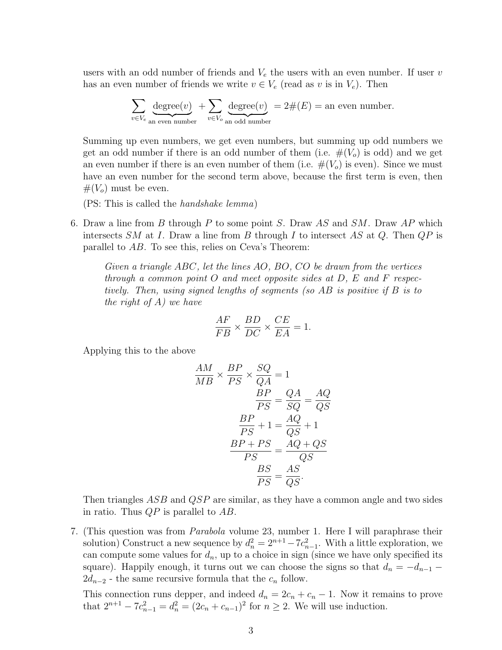users with an odd number of friends and  $V_e$  the users with an even number. If user v has an even number of friends we write  $v \in V_e$  (read as v is in  $V_e$ ). Then

$$
\sum_{v \in V_e} \underbrace{\text{degree}(v)}_{\text{an even number}} + \sum_{v \in V_o} \underbrace{\text{degree}(v)}_{\text{an odd number}} = 2 \# (E) = \text{an even number}.
$$

Summing up even numbers, we get even numbers, but summing up odd numbers we get an odd number if there is an odd number of them (i.e.  $\#(V_o)$  is odd) and we get an even number if there is an even number of them (i.e.  $\#(V_o)$  is even). Since we must have an even number for the second term above, because the first term is even, then  $#(V<sub>o</sub>)$  must be even.

(PS: This is called the handshake lemma)

6. Draw a line from B through P to some point S. Draw AS and  $SM$ . Draw AP which intersects SM at I. Draw a line from B through I to intersect AS at Q. Then  $QP$  is parallel to AB. To see this, relies on Ceva's Theorem:

Given a triangle ABC, let the lines AO, BO, CO be drawn from the vertices through a common point O and meet opposite sides at  $D$ , E and F respectively. Then, using signed lengths of segments (so AB is positive if B is to the right of  $A$ ) we have

$$
\frac{AF}{FB} \times \frac{BD}{DC} \times \frac{CE}{EA} = 1.
$$

Applying this to the above

$$
\frac{AM}{MB} \times \frac{BP}{PS} \times \frac{SQ}{QA} = 1
$$
  
\n
$$
\frac{BP}{PS} = \frac{QA}{SQ} = \frac{AQ}{QS}
$$
  
\n
$$
\frac{BP}{PS} + 1 = \frac{AQ}{QS} + 1
$$
  
\n
$$
\frac{BP + PS}{PS} = \frac{AQ + QS}{QS}
$$
  
\n
$$
\frac{BS}{PS} = \frac{AS}{QS}.
$$

Then triangles ASB and QSP are similar, as they have a common angle and two sides in ratio. Thus  $QP$  is parallel to  $AB$ .

7. (This question was from Parabola volume 23, number 1. Here I will paraphrase their solution) Construct a new sequence by  $d_n^2 = 2^{n+1} - 7c_{n-1}^2$ . With a little exploration, we can compute some values for  $d_n$ , up to a choice in sign (since we have only specified its square). Happily enough, it turns out we can choose the signs so that  $d_n = -d_{n-1}$  $2d_{n-2}$  - the same recursive formula that the  $c_n$  follow.

This connection runs depper, and indeed  $d_n = 2c_n + c_n - 1$ . Now it remains to prove that  $2^{n+1} - 7c_{n-1}^2 = d_n^2 = (2c_n + c_{n-1})^2$  for  $n \ge 2$ . We will use induction.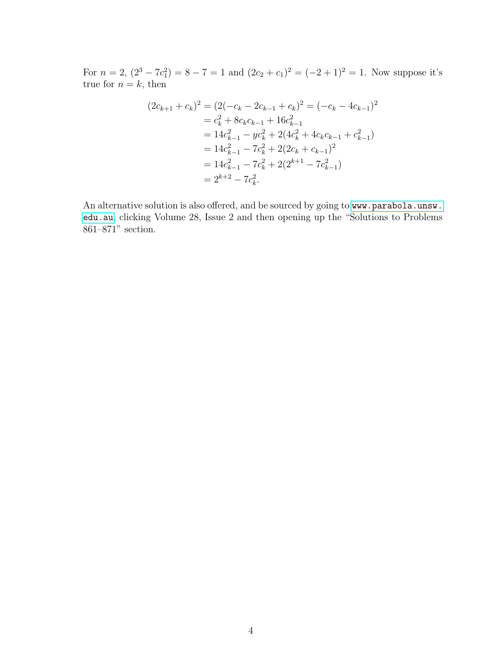For  $n = 2$ ,  $(2^3 - 7c_1^2) = 8 - 7 = 1$  and  $(2c_2 + c_1)^2 = (-2 + 1)^2 = 1$ . Now suppose it's true for  $n = k$ , then

$$
(2c_{k+1} + c_k)^2 = (2(-c_k - 2c_{k-1} + c_k)^2) = (-c_k - 4c_{k-1})^2
$$
  
=  $c_k^2 + 8c_kc_{k-1} + 16c_{k-1}^2$   
=  $14c_{k-1}^2 - yc_k^2 + 2(4c_k^2 + 4c_kc_{k-1} + c_{k-1}^2)$   
=  $14c_{k-1}^2 - 7c_k^2 + 2(2c_k + c_{k-1})^2$   
=  $14c_{k-1}^2 - 7c_k^2 + 2(2^{k+1} - 7c_{k-1}^2)$   
=  $2^{k+2} - 7c_k^2$ .

An alternative solution is also offered, and be sourced by going to [www.parabola.unsw.](www.parabola.unsw.edu.au) [edu.au](www.parabola.unsw.edu.au), clicking Volume 28, Issue 2 and then opening up the "Solutions to Problems 861–871" section.